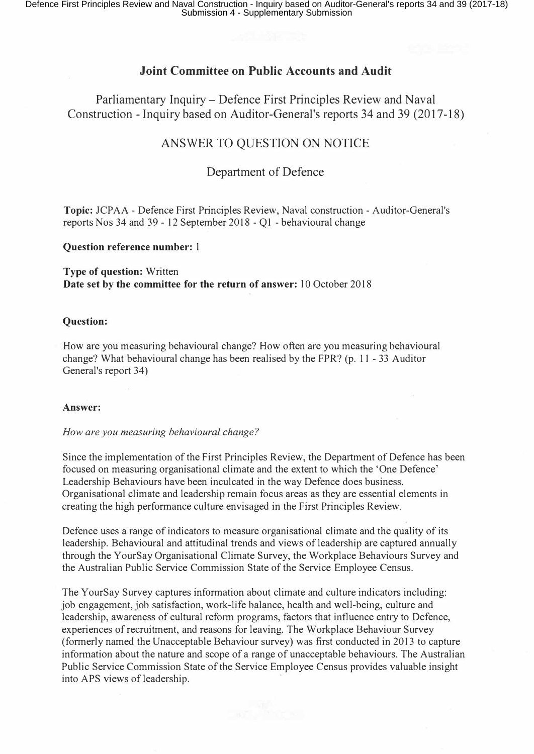## **Joint Committee on Public Accounts and Audit**

Parliamentary Inquiry – Defence First Principles Review and Naval Construction - Inquiry based on Auditor-General's reports 34 and 39 (2017-18)

# ANSWER TO QUESTION ON NOTICE

## Department of Defence

**Topic:** JCP AA - Defence First Principles Review, Naval construction - Auditor-General's reports Nos 34 and 39 - 12 September 2018 - QI - behavioural change

### **Question reference number:** l

**Type of question:** Written **Date set by the committee for the return of answer:** 10 October 2018

## **Question:**

How are you measuring behavioural change? How often are you measuring behavioural change? What behavioural change has been realised by the FPR? (p. 11 - 33 Auditor General's report 34)

### **Answer:**

### *How are you measuring behavioural change?*

Since the implementation of the First Principles Review, the Department of Defence has been focused on measuring organisational climate and the extent to which the 'One Defence' Leadership Behaviours have been inculcated in the way Defence does business. Organisational climate and leadership remain focus areas as they are essential elements in creating the high performance culture envisaged in the First Principles Review.

Defence uses a range of indicators to measure organisational climate and the quality of its leadership. Behavioural and attitudinal trends and views of leadership are captured annually through the YourSay Organisational Climate Survey, the Workplace Behaviours Survey and the Australian Public Service Commission State of the Service Employee Census.

The YourSay Survey captures information about climate and culture indicators including: job engagement, job satisfaction, work-life balance, health and well-being, culture and leadership, awareness of cultural reform programs, factors that influence entry to Defence, experiences of recruitment, and reasons for leaving. The Workplace Behaviour Survey (formerly named the Unacceptable Behaviour survey) was first conducted in 2013 to capture information about the nature and scope of a range of unacceptable behaviours. The Australian Public Service Commission State of the Service Employee Census provides valuable insight into APS views of leadership.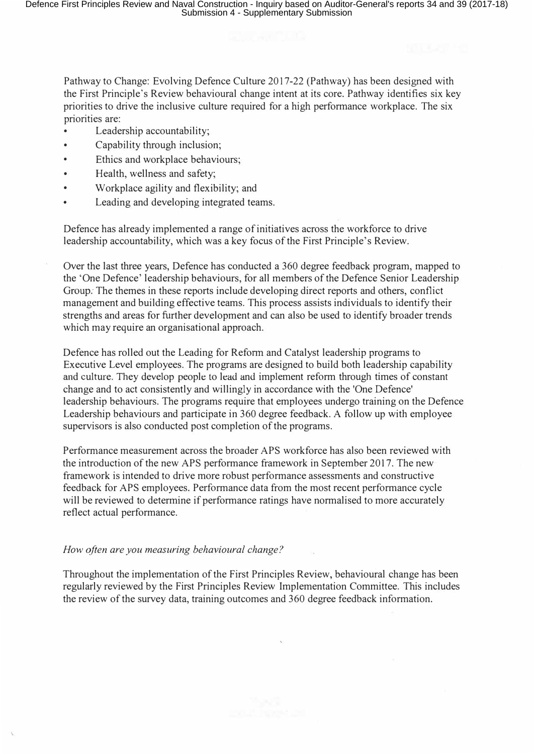Pathway to Change: Evolving Defence Culture 2017-22 (Pathway) has been designed with the First Principle's Review behavioural change intent at its core. Pathway identifies six key priorities to drive the inclusive culture required for a high performance workplace. The six priorities are:

- Leadership accountability;
- Capability through inclusion;
- Ethics and workplace behaviours;
- Health, wellness and safety;
- Workplace agility and flexibility; and
- Leading and developing integrated teams.

Defence has already implemented a range of initiatives across the workforce to drive leadership accountability, which was a key focus of the First Principle's Review.

Over the last three years, Defence has conducted a 360 degree feedback program, mapped to the 'One Defence' leadership behaviours, for all members of the Defence Senior Leadership *Group:* The themes in these reports include developing direct reports and others, conflict management and building effective teams. This process assists individuals to identify their strengths and areas for further development and can also be used to identify broader trends which may require an organisational approach.

Defence has rolled out the Leading for Refonn and Catalyst leadership programs to Executive Level employees. The programs are designed to build both leadership capability and culture. They develop people to lead and implement reform through times of constant change and to act consistently and willingly in accordance with the 'One Defence' leadership behaviours. The programs require that employees undergo training on the Defence Leadership behaviours and participate in 360 degree feedback. A follow up with employee supervisors is also conducted post completion of the programs.

Performance measurement across the broader APS workforce has also been reviewed with the introduction of the new APS performance framework in September 2017. The new framework is intended to drive more robust performance assessments and constructive feedback for APS employees. Performance data from the most recent performance cycle will be reviewed to determine if performance ratings have normalised to more accurately reflect actual performance.

## *How often are you measuring behavioural change?*

Throughout the implementation of the First Principles Review, behavioural change has been regularly reviewed by the First Principles Review Implementation Committee. This includes the review of the survey data, training outcomes and 360 degree feedback information.